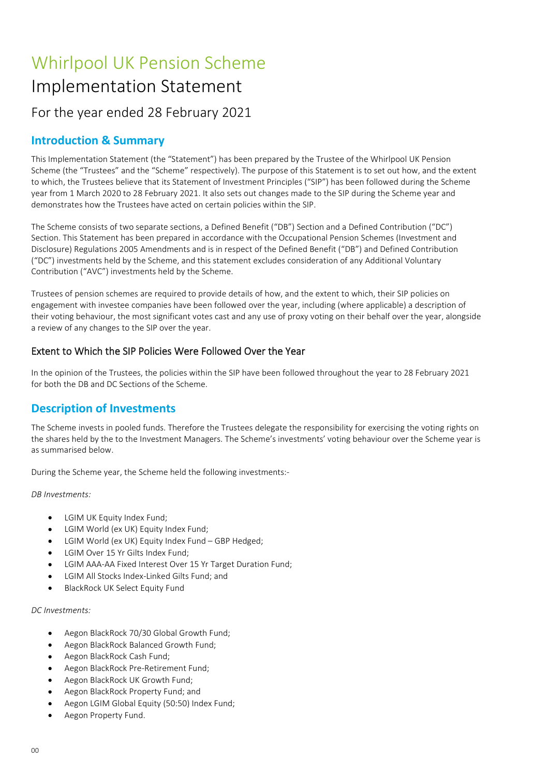# Whirlpool UK Pension Scheme Implementation Statement For the year ended 28 February 2021

## Introduction & Summary

This Implementation Statement (the "Statement") has been prepared by the Trustee of the Whirlpool UK Pension Scheme (the "Trustees" and the "Scheme" respectively). The purpose of this Statement is to set out how, and the extent to which, the Trustees believe that its Statement of Investment Principles ("SIP") has been followed during the Scheme year from 1 March 2020 to 28 February 2021. It also sets out changes made to the SIP during the Scheme year and demonstrates how the Trustees have acted on certain policies within the SIP.

The Scheme consists of two separate sections, a Defined Benefit ("DB") Section and a Defined Contribution ("DC") Section. This Statement has been prepared in accordance with the Occupational Pension Schemes (Investment and Disclosure) Regulations 2005 Amendments and is in respect of the Defined Benefit ("DB") and Defined Contribution ("DC") investments held by the Scheme, and this statement excludes consideration of any Additional Voluntary Contribution ("AVC") investments held by the Scheme.

Trustees of pension schemes are required to provide details of how, and the extent to which, their SIP policies on engagement with investee companies have been followed over the year, including (where applicable) a description of their voting behaviour, the most significant votes cast and any use of proxy voting on their behalf over the year, alongside a review of any changes to the SIP over the year.

## Extent to Which the SIP Policies Were Followed Over the Year

In the opinion of the Trustees, the policies within the SIP have been followed throughout the year to 28 February 2021 for both the DB and DC Sections of the Scheme.

## Description of Investments

The Scheme invests in pooled funds. Therefore the Trustees delegate the responsibility for exercising the voting rights on the shares held by the to the Investment Managers. The Scheme's investments' voting behaviour over the Scheme year is as summarised below.

During the Scheme year, the Scheme held the following investments:-

DB Investments:

- LGIM UK Equity Index Fund;
- LGIM World (ex UK) Equity Index Fund;
- LGIM World (ex UK) Equity Index Fund GBP Hedged;
- LGIM Over 15 Yr Gilts Index Fund;
- LGIM AAA-AA Fixed Interest Over 15 Yr Target Duration Fund;
- LGIM All Stocks Index-Linked Gilts Fund; and
- BlackRock UK Select Equity Fund

#### DC Investments:

- Aegon BlackRock 70/30 Global Growth Fund;
- Aegon BlackRock Balanced Growth Fund;
- Aegon BlackRock Cash Fund;
- Aegon BlackRock Pre-Retirement Fund;
- Aegon BlackRock UK Growth Fund;
- Aegon BlackRock Property Fund; and
- Aegon LGIM Global Equity (50:50) Index Fund;
- Aegon Property Fund.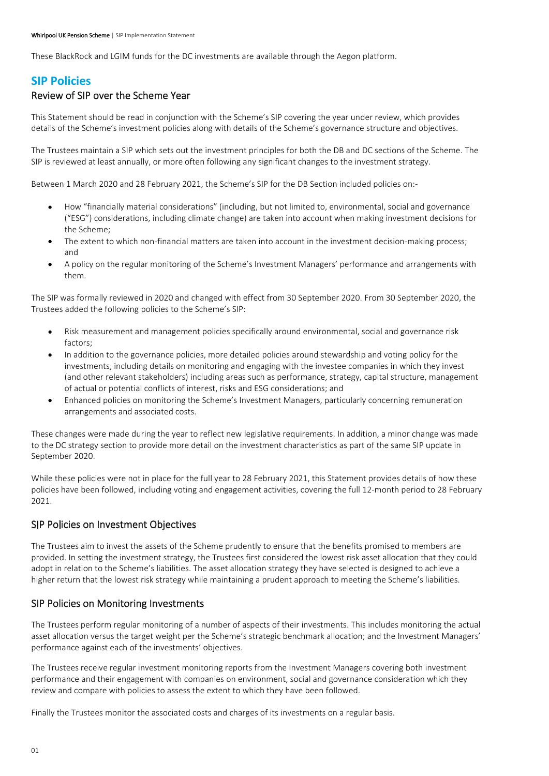These BlackRock and LGIM funds for the DC investments are available through the Aegon platform.

## SIP Policies

## Review of SIP over the Scheme Year

This Statement should be read in conjunction with the Scheme's SIP covering the year under review, which provides details of the Scheme's investment policies along with details of the Scheme's governance structure and objectives.

The Trustees maintain a SIP which sets out the investment principles for both the DB and DC sections of the Scheme. The SIP is reviewed at least annually, or more often following any significant changes to the investment strategy.

Between 1 March 2020 and 28 February 2021, the Scheme's SIP for the DB Section included policies on:-

- How "financially material considerations" (including, but not limited to, environmental, social and governance ("ESG") considerations, including climate change) are taken into account when making investment decisions for the Scheme;
- The extent to which non-financial matters are taken into account in the investment decision-making process; and
- A policy on the regular monitoring of the Scheme's Investment Managers' performance and arrangements with them.

The SIP was formally reviewed in 2020 and changed with effect from 30 September 2020. From 30 September 2020, the Trustees added the following policies to the Scheme's SIP:

- Risk measurement and management policies specifically around environmental, social and governance risk  $\bullet$ factors;
- In addition to the governance policies, more detailed policies around stewardship and voting policy for the investments, including details on monitoring and engaging with the investee companies in which they invest (and other relevant stakeholders) including areas such as performance, strategy, capital structure, management of actual or potential conflicts of interest, risks and ESG considerations; and
- Enhanced policies on monitoring the Scheme's Investment Managers, particularly concerning remuneration  $\bullet$ arrangements and associated costs.

These changes were made during the year to reflect new legislative requirements. In addition, a minor change was made to the DC strategy section to provide more detail on the investment characteristics as part of the same SIP update in September 2020.

While these policies were not in place for the full year to 28 February 2021, this Statement provides details of how these policies have been followed, including voting and engagement activities, covering the full 12-month period to 28 February 2021.

## SIP Policies on Investment Objectives

The Trustees aim to invest the assets of the Scheme prudently to ensure that the benefits promised to members are provided. In setting the investment strategy, the Trustees first considered the lowest risk asset allocation that they could adopt in relation to the Scheme's liabilities. The asset allocation strategy they have selected is designed to achieve a higher return that the lowest risk strategy while maintaining a prudent approach to meeting the Scheme's liabilities.

## SIP Policies on Monitoring Investments

The Trustees perform regular monitoring of a number of aspects of their investments. This includes monitoring the actual asset allocation versus the target weight per the Scheme's strategic benchmark allocation; and the Investment Managers' performance against each of the investments' objectives.

The Trustees receive regular investment monitoring reports from the Investment Managers covering both investment performance and their engagement with companies on environment, social and governance consideration which they review and compare with policies to assess the extent to which they have been followed.

Finally the Trustees monitor the associated costs and charges of its investments on a regular basis.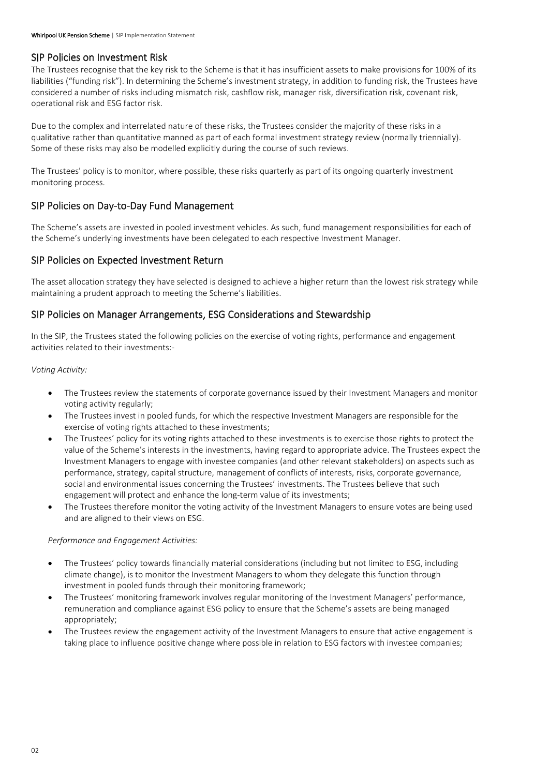## SIP Policies on Investment Risk

The Trustees recognise that the key risk to the Scheme is that it has insufficient assets to make provisions for 100% of its liabilities ("funding risk"). In determining the Scheme's investment strategy, in addition to funding risk, the Trustees have considered a number of risks including mismatch risk, cashflow risk, manager risk, diversification risk, covenant risk, operational risk and ESG factor risk.

Due to the complex and interrelated nature of these risks, the Trustees consider the majority of these risks in a qualitative rather than quantitative manned as part of each formal investment strategy review (normally triennially). Some of these risks may also be modelled explicitly during the course of such reviews.

The Trustees' policy is to monitor, where possible, these risks quarterly as part of its ongoing quarterly investment monitoring process.

## SIP Policies on Day-to-Day Fund Management

The Scheme's assets are invested in pooled investment vehicles. As such, fund management responsibilities for each of the Scheme's underlying investments have been delegated to each respective Investment Manager.

## SIP Policies on Expected Investment Return

The asset allocation strategy they have selected is designed to achieve a higher return than the lowest risk strategy while maintaining a prudent approach to meeting the Scheme's liabilities.

## SIP Policies on Manager Arrangements, ESG Considerations and Stewardship

In the SIP, the Trustees stated the following policies on the exercise of voting rights, performance and engagement activities related to their investments:-

#### Voting Activity:

- The Trustees review the statements of corporate governance issued by their Investment Managers and monitor voting activity regularly;
- The Trustees invest in pooled funds, for which the respective Investment Managers are responsible for the exercise of voting rights attached to these investments;
- The Trustees' policy for its voting rights attached to these investments is to exercise those rights to protect the value of the Scheme's interests in the investments, having regard to appropriate advice. The Trustees expect the Investment Managers to engage with investee companies (and other relevant stakeholders) on aspects such as performance, strategy, capital structure, management of conflicts of interests, risks, corporate governance, social and environmental issues concerning the Trustees' investments. The Trustees believe that such engagement will protect and enhance the long-term value of its investments;
- The Trustees therefore monitor the voting activity of the Investment Managers to ensure votes are being used and are aligned to their views on ESG.

#### Performance and Engagement Activities:

- The Trustees' policy towards financially material considerations (including but not limited to ESG, including climate change), is to monitor the Investment Managers to whom they delegate this function through investment in pooled funds through their monitoring framework;
- The Trustees' monitoring framework involves regular monitoring of the Investment Managers' performance, remuneration and compliance against ESG policy to ensure that the Scheme's assets are being managed appropriately;
- The Trustees review the engagement activity of the Investment Managers to ensure that active engagement is taking place to influence positive change where possible in relation to ESG factors with investee companies;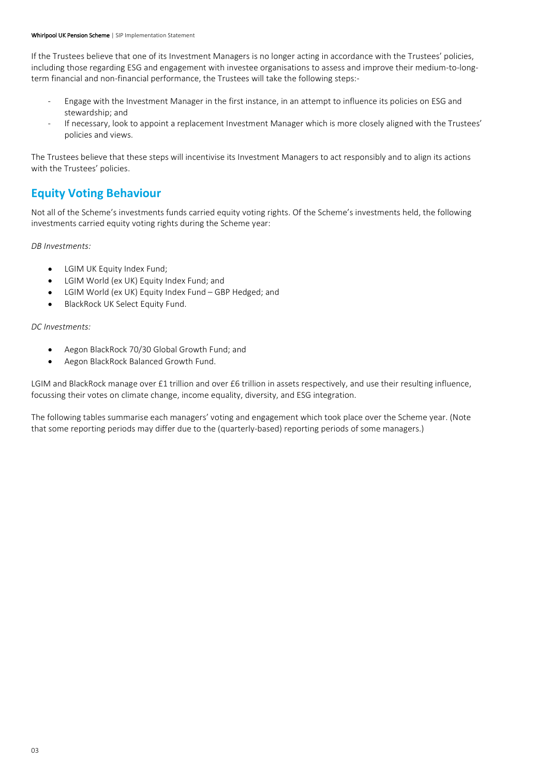If the Trustees believe that one of its Investment Managers is no longer acting in accordance with the Trustees' policies, including those regarding ESG and engagement with investee organisations to assess and improve their medium-to-longterm financial and non-financial performance, the Trustees will take the following steps:-

- Engage with the Investment Manager in the first instance, in an attempt to influence its policies on ESG and stewardship; and
- If necessary, look to appoint a replacement Investment Manager which is more closely aligned with the Trustees' policies and views.

The Trustees believe that these steps will incentivise its Investment Managers to act responsibly and to align its actions with the Trustees' policies.

## Equity Voting Behaviour

Not all of the Scheme's investments funds carried equity voting rights. Of the Scheme's investments held, the following investments carried equity voting rights during the Scheme year:

DB Investments:

- LGIM UK Equity Index Fund;
- LGIM World (ex UK) Equity Index Fund; and  $\bullet$
- LGIM World (ex UK) Equity Index Fund GBP Hedged; and
- BlackRock UK Select Equity Fund.  $\bullet$

DC Investments:

- Aegon BlackRock 70/30 Global Growth Fund; and  $\bullet$
- Aegon BlackRock Balanced Growth Fund.  $\bullet$

LGIM and BlackRock manage over £1 trillion and over £6 trillion in assets respectively, and use their resulting influence, focussing their votes on climate change, income equality, diversity, and ESG integration.

The following tables summarise each managers' voting and engagement which took place over the Scheme year. (Note that some reporting periods may differ due to the (quarterly-based) reporting periods of some managers.)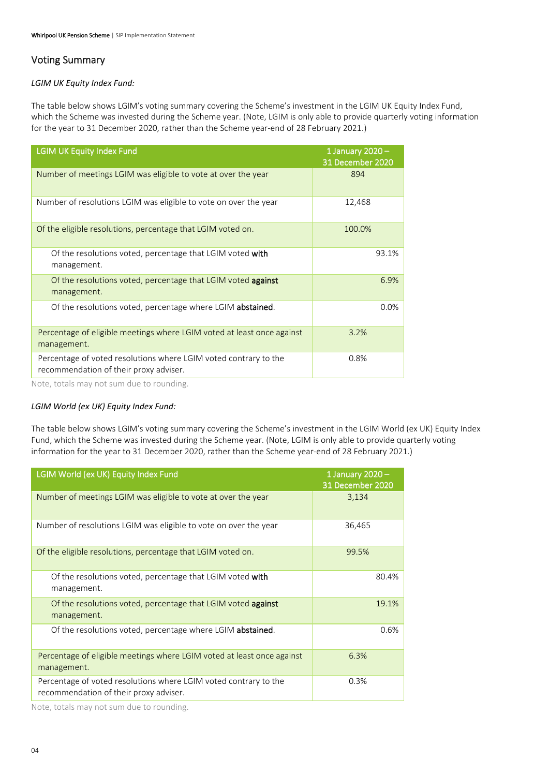## Voting Summary

#### LGIM UK Equity Index Fund:

The table below shows LGIM's voting summary covering the Scheme's investment in the LGIM UK Equity Index Fund, which the Scheme was invested during the Scheme year. (Note, LGIM is only able to provide quarterly voting information for the year to 31 December 2020, rather than the Scheme year-end of 28 February 2021.)

| <b>LGIM UK Equity Index Fund</b>                                                                                                                                             | 1 January $2020 -$<br>31 December 2020 |
|------------------------------------------------------------------------------------------------------------------------------------------------------------------------------|----------------------------------------|
| Number of meetings LGIM was eligible to vote at over the year                                                                                                                | 894                                    |
| Number of resolutions LGIM was eligible to vote on over the year                                                                                                             | 12,468                                 |
| Of the eligible resolutions, percentage that LGIM voted on.                                                                                                                  | 100.0%                                 |
| Of the resolutions voted, percentage that LGIM voted with<br>management.                                                                                                     | 93.1%                                  |
| Of the resolutions voted, percentage that LGIM voted against<br>management.                                                                                                  | 6.9%                                   |
| Of the resolutions voted, percentage where LGIM abstained.                                                                                                                   | 0.0%                                   |
| Percentage of eligible meetings where LGIM voted at least once against<br>management.                                                                                        | 3.2%                                   |
| Percentage of voted resolutions where LGIM voted contrary to the<br>recommendation of their proxy adviser.<br>استعماله مرزومة والمتعاون والمتحول والمستحدث والمطامع المطاوية | 0.8%                                   |

Note, totals may not sum due to rounding.

#### LGIM World (ex UK) Equity Index Fund:

The table below shows LGIM's voting summary covering the Scheme's investment in the LGIM World (ex UK) Equity Index Fund, which the Scheme was invested during the Scheme year. (Note, LGIM is only able to provide quarterly voting information for the year to 31 December 2020, rather than the Scheme year-end of 28 February 2021.)

| <b>LGIM World (ex UK) Equity Index Fund</b>                                                                                                                                          | 1 January 2020 -<br>31 December 2020 |
|--------------------------------------------------------------------------------------------------------------------------------------------------------------------------------------|--------------------------------------|
| Number of meetings LGIM was eligible to vote at over the year                                                                                                                        | 3,134                                |
| Number of resolutions LGIM was eligible to vote on over the year                                                                                                                     | 36,465                               |
| Of the eligible resolutions, percentage that LGIM voted on.                                                                                                                          | 99.5%                                |
| Of the resolutions voted, percentage that LGIM voted with<br>management.                                                                                                             | 80.4%                                |
| Of the resolutions voted, percentage that LGIM voted against<br>management.                                                                                                          | 19.1%                                |
| Of the resolutions voted, percentage where LGIM abstained.                                                                                                                           | 0.6%                                 |
| Percentage of eligible meetings where LGIM voted at least once against<br>management.                                                                                                | 6.3%                                 |
| Percentage of voted resolutions where LGIM voted contrary to the<br>recommendation of their proxy adviser.<br>استمرئاه ورزيمته المتراسي والمستنبط المحاور ويحاومه والمطاوعة المطاوية | 0.3%                                 |

Note, totals may not sum due to rounding.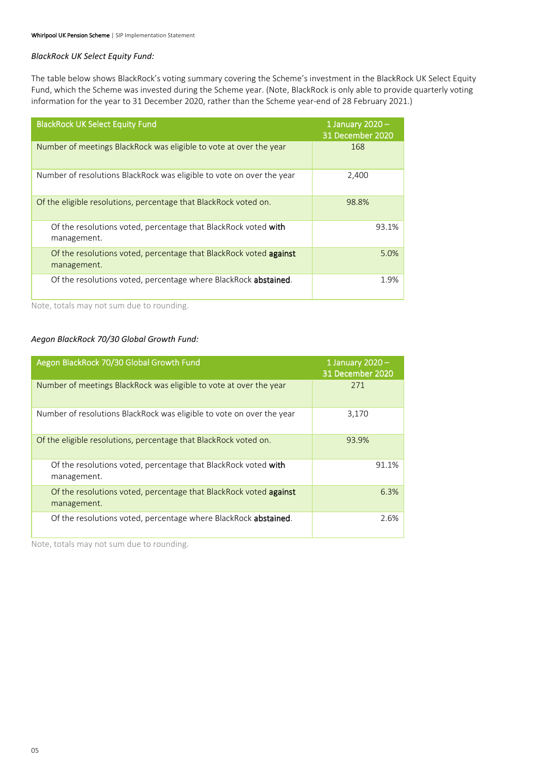#### BlackRock UK Select Equity Fund:

The table below shows BlackRock's voting summary covering the Scheme's investment in the BlackRock UK Select Equity Fund, which the Scheme was invested during the Scheme year. (Note, BlackRock is only able to provide quarterly voting information for the year to 31 December 2020, rather than the Scheme year-end of 28 February 2021.)

| <b>BlackRock UK Select Equity Fund</b>                                           | 1 January 2020 $-$<br>31 December 2020 |
|----------------------------------------------------------------------------------|----------------------------------------|
| Number of meetings BlackRock was eligible to vote at over the year               | 168                                    |
| Number of resolutions BlackRock was eligible to vote on over the year            | 2,400                                  |
| Of the eligible resolutions, percentage that BlackRock voted on.                 | 98.8%                                  |
| Of the resolutions voted, percentage that BlackRock voted with<br>management.    | 93.1%                                  |
| Of the resolutions voted, percentage that BlackRock voted against<br>management. | 5.0%                                   |
| Of the resolutions voted, percentage where BlackRock <b>abstained</b> .          | 1.9%                                   |

Note, totals may not sum due to rounding.

#### Aegon BlackRock 70/30 Global Growth Fund:

| Aegon BlackRock 70/30 Global Growth Fund                                                | 1 January 2020 $-$<br>31 December 2020 |
|-----------------------------------------------------------------------------------------|----------------------------------------|
| Number of meetings BlackRock was eligible to vote at over the year                      | 271                                    |
| Number of resolutions BlackRock was eligible to vote on over the year                   | 3,170                                  |
| Of the eligible resolutions, percentage that BlackRock voted on.                        | 93.9%                                  |
| Of the resolutions voted, percentage that BlackRock voted with<br>management.           | 91.1%                                  |
| Of the resolutions voted, percentage that BlackRock voted <b>against</b><br>management. | 6.3%                                   |
| Of the resolutions voted, percentage where BlackRock abstained.                         | 2.6%                                   |

Note, totals may not sum due to rounding.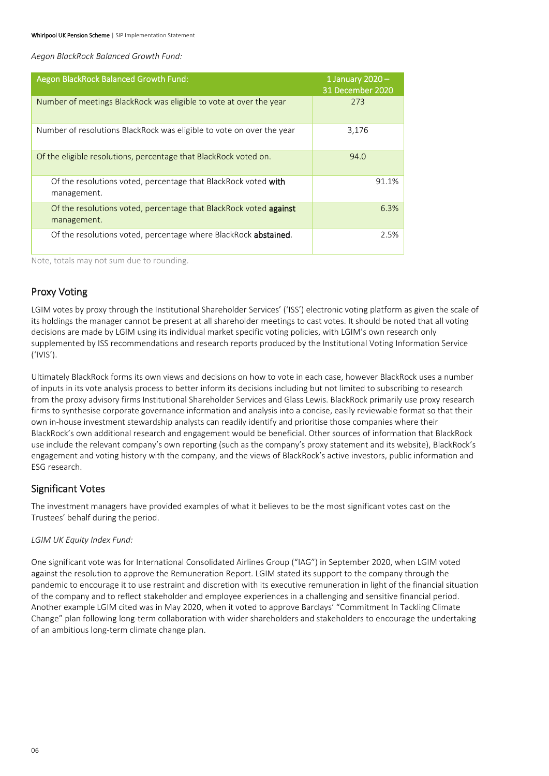Aegon BlackRock Balanced Growth Fund:

| Aegon BlackRock Balanced Growth Fund:                                                   | 1 January $2020 -$<br>31 December 2020 |
|-----------------------------------------------------------------------------------------|----------------------------------------|
| Number of meetings BlackRock was eligible to vote at over the year                      | 273                                    |
| Number of resolutions BlackRock was eligible to vote on over the year                   | 3,176                                  |
| Of the eligible resolutions, percentage that BlackRock voted on.                        | 94.0                                   |
| Of the resolutions voted, percentage that BlackRock voted with<br>management.           | 91.1%                                  |
| Of the resolutions voted, percentage that BlackRock voted <b>against</b><br>management. | 6.3%                                   |
| Of the resolutions voted, percentage where BlackRock abstained.                         | 2.5%                                   |

Note, totals may not sum due to rounding.

## Proxy Voting

LGIM votes by proxy through the Institutional Shareholder Services' ('ISS') electronic voting platform as given the scale of its holdings the manager cannot be present at all shareholder meetings to cast votes. It should be noted that all voting decisions are made by LGIM using its individual market specific voting policies, with LGIM's own research only supplemented by ISS recommendations and research reports produced by the Institutional Voting Information Service ('IVIS').

Ultimately BlackRock forms its own views and decisions on how to vote in each case, however BlackRock uses a number of inputs in its vote analysis process to better inform its decisions including but not limited to subscribing to research from the proxy advisory firms Institutional Shareholder Services and Glass Lewis. BlackRock primarily use proxy research firms to synthesise corporate governance information and analysis into a concise, easily reviewable format so that their own in-house investment stewardship analysts can readily identify and prioritise those companies where their BlackRock's own additional research and engagement would be beneficial. Other sources of information that BlackRock use include the relevant company's own reporting (such as the company's proxy statement and its website), BlackRock's engagement and voting history with the company, and the views of BlackRock's active investors, public information and ESG research.

## Significant Votes

The investment managers have provided examples of what it believes to be the most significant votes cast on the Trustees' behalf during the period.

### LGIM UK Equity Index Fund:

One significant vote was for International Consolidated Airlines Group ("IAG") in September 2020, when LGIM voted against the resolution to approve the Remuneration Report. LGIM stated its support to the company through the pandemic to encourage it to use restraint and discretion with its executive remuneration in light of the financial situation of the company and to reflect stakeholder and employee experiences in a challenging and sensitive financial period. Another example LGIM cited was in May 2020, when it voted to approve Barclays' "Commitment In Tackling Climate Change" plan following long-term collaboration with wider shareholders and stakeholders to encourage the undertaking of an ambitious long-term climate change plan.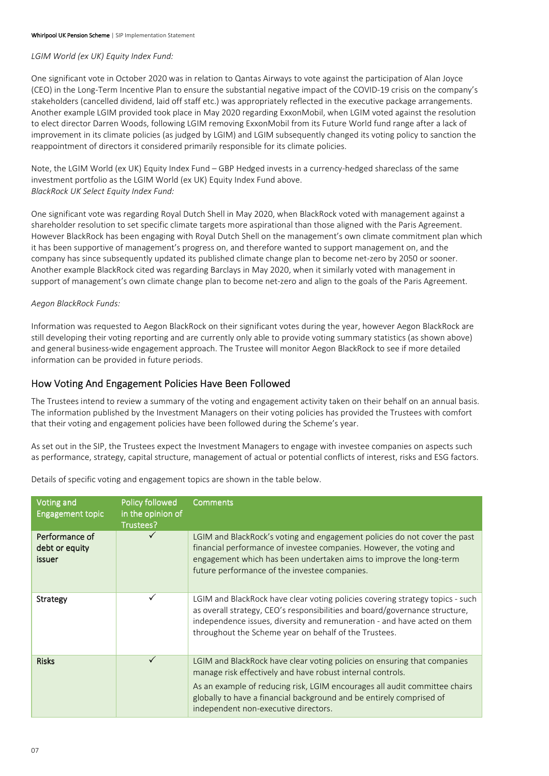#### LGIM World (ex UK) Equity Index Fund:

One significant vote in October 2020 was in relation to Qantas Airways to vote against the participation of Alan Joyce (CEO) in the Long-Term Incentive Plan to ensure the substantial negative impact of the COVID-19 crisis on the company's stakeholders (cancelled dividend, laid off staff etc.) was appropriately reflected in the executive package arrangements. Another example LGIM provided took place in May 2020 regarding ExxonMobil, when LGIM voted against the resolution to elect director Darren Woods, following LGIM removing ExxonMobil from its Future World fund range after a lack of improvement in its climate policies (as judged by LGIM) and LGIM subsequently changed its voting policy to sanction the reappointment of directors it considered primarily responsible for its climate policies.

Note, the LGIM World (ex UK) Equity Index Fund – GBP Hedged invests in a currency-hedged shareclass of the same investment portfolio as the LGIM World (ex UK) Equity Index Fund above. BlackRock UK Select Equity Index Fund:

One significant vote was regarding Royal Dutch Shell in May 2020, when BlackRock voted with management against a shareholder resolution to set specific climate targets more aspirational than those aligned with the Paris Agreement. However BlackRock has been engaging with Royal Dutch Shell on the management's own climate commitment plan which it has been supportive of management's progress on, and therefore wanted to support management on, and the company has since subsequently updated its published climate change plan to become net-zero by 2050 or sooner. Another example BlackRock cited was regarding Barclays in May 2020, when it similarly voted with management in support of management's own climate change plan to become net-zero and align to the goals of the Paris Agreement.

#### Aegon BlackRock Funds:

Information was requested to Aegon BlackRock on their significant votes during the year, however Aegon BlackRock are still developing their voting reporting and are currently only able to provide voting summary statistics (as shown above) and general business-wide engagement approach. The Trustee will monitor Aegon BlackRock to see if more detailed information can be provided in future periods.

## How Voting And Engagement Policies Have Been Followed

The Trustees intend to review a summary of the voting and engagement activity taken on their behalf on an annual basis. The information published by the Investment Managers on their voting policies has provided the Trustees with comfort that their voting and engagement policies have been followed during the Scheme's year.

As set out in the SIP, the Trustees expect the Investment Managers to engage with investee companies on aspects such as performance, strategy, capital structure, management of actual or potential conflicts of interest, risks and ESG factors.

| Details of specific voting and engagement topics are shown in the table below. |  |
|--------------------------------------------------------------------------------|--|
|--------------------------------------------------------------------------------|--|

| <b>Voting and</b><br><b>Engagement topic</b>      | <b>Policy followed</b><br>in the opinion of<br>Trustees? | <b>Comments</b>                                                                                                                                                                                                                                                                                                                      |
|---------------------------------------------------|----------------------------------------------------------|--------------------------------------------------------------------------------------------------------------------------------------------------------------------------------------------------------------------------------------------------------------------------------------------------------------------------------------|
| Performance of<br>debt or equity<br><b>issuer</b> |                                                          | LGIM and BlackRock's voting and engagement policies do not cover the past<br>financial performance of investee companies. However, the voting and<br>engagement which has been undertaken aims to improve the long-term<br>future performance of the investee companies.                                                             |
| Strategy                                          |                                                          | LGIM and BlackRock have clear voting policies covering strategy topics - such<br>as overall strategy, CEO's responsibilities and board/governance structure,<br>independence issues, diversity and remuneration - and have acted on them<br>throughout the Scheme year on behalf of the Trustees.                                    |
| <b>Risks</b>                                      |                                                          | LGIM and BlackRock have clear voting policies on ensuring that companies<br>manage risk effectively and have robust internal controls.<br>As an example of reducing risk, LGIM encourages all audit committee chairs<br>globally to have a financial background and be entirely comprised of<br>independent non-executive directors. |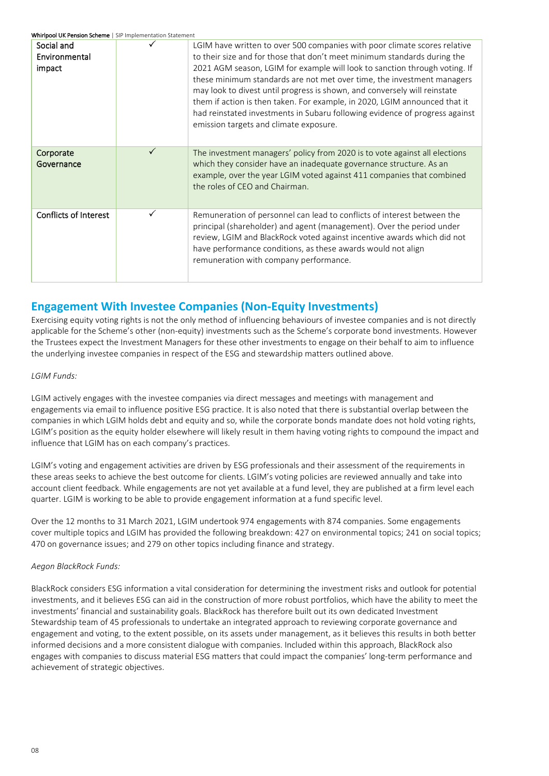Whirlpool LIK Pension Scheme | SIP Implementation Statement

| Social and<br>Environmental<br>impact |              | LGIM have written to over 500 companies with poor climate scores relative<br>to their size and for those that don't meet minimum standards during the<br>2021 AGM season, LGIM for example will look to sanction through voting. If<br>these minimum standards are not met over time, the investment managers<br>may look to divest until progress is shown, and conversely will reinstate<br>them if action is then taken. For example, in 2020, LGIM announced that it<br>had reinstated investments in Subaru following evidence of progress against<br>emission targets and climate exposure. |
|---------------------------------------|--------------|---------------------------------------------------------------------------------------------------------------------------------------------------------------------------------------------------------------------------------------------------------------------------------------------------------------------------------------------------------------------------------------------------------------------------------------------------------------------------------------------------------------------------------------------------------------------------------------------------|
| Corporate<br>Governance               | $\checkmark$ | The investment managers' policy from 2020 is to vote against all elections<br>which they consider have an inadequate governance structure. As an<br>example, over the year LGIM voted against 411 companies that combined<br>the roles of CEO and Chairman.                                                                                                                                                                                                                                                                                                                                       |
| <b>Conflicts of Interest</b>          | ✓            | Remuneration of personnel can lead to conflicts of interest between the<br>principal (shareholder) and agent (management). Over the period under<br>review, LGIM and BlackRock voted against incentive awards which did not<br>have performance conditions, as these awards would not align<br>remuneration with company performance.                                                                                                                                                                                                                                                             |

## Engagement With Investee Companies (Non-Equity Investments)

Exercising equity voting rights is not the only method of influencing behaviours of investee companies and is not directly applicable for the Scheme's other (non-equity) investments such as the Scheme's corporate bond investments. However the Trustees expect the Investment Managers for these other investments to engage on their behalf to aim to influence the underlying investee companies in respect of the ESG and stewardship matters outlined above.

#### LGIM Funds:

LGIM actively engages with the investee companies via direct messages and meetings with management and engagements via email to influence positive ESG practice. It is also noted that there is substantial overlap between the companies in which LGIM holds debt and equity and so, while the corporate bonds mandate does not hold voting rights, LGIM's position as the equity holder elsewhere will likely result in them having voting rights to compound the impact and influence that LGIM has on each company's practices.

LGIM's voting and engagement activities are driven by ESG professionals and their assessment of the requirements in these areas seeks to achieve the best outcome for clients. LGIM's voting policies are reviewed annually and take into account client feedback. While engagements are not yet available at a fund level, they are published at a firm level each quarter. LGIM is working to be able to provide engagement information at a fund specific level.

Over the 12 months to 31 March 2021, LGIM undertook 974 engagements with 874 companies. Some engagements cover multiple topics and LGIM has provided the following breakdown: 427 on environmental topics; 241 on social topics; 470 on governance issues; and 279 on other topics including finance and strategy.

#### Aegon BlackRock Funds:

BlackRock considers ESG information a vital consideration for determining the investment risks and outlook for potential investments, and it believes ESG can aid in the construction of more robust portfolios, which have the ability to meet the investments' financial and sustainability goals. BlackRock has therefore built out its own dedicated Investment Stewardship team of 45 professionals to undertake an integrated approach to reviewing corporate governance and engagement and voting, to the extent possible, on its assets under management, as it believes this results in both better informed decisions and a more consistent dialogue with companies. Included within this approach, BlackRock also engages with companies to discuss material ESG matters that could impact the companies' long-term performance and achievement of strategic objectives.